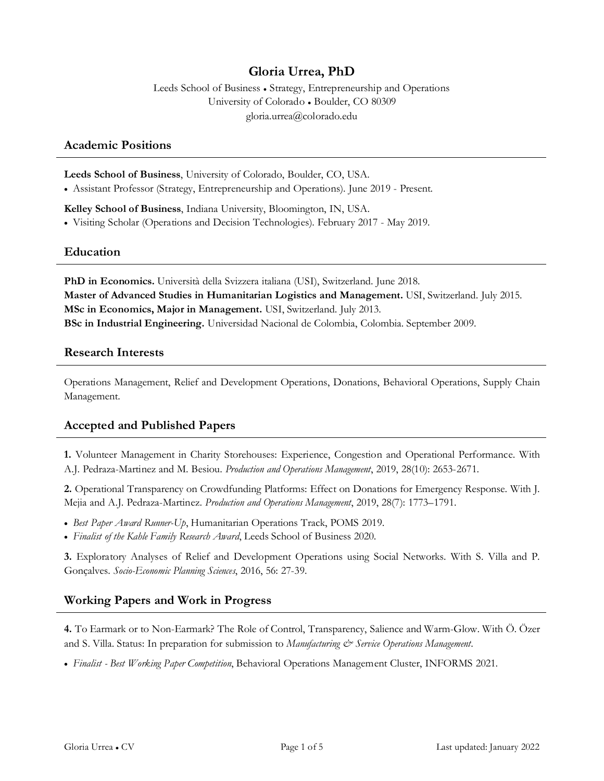# **Gloria Urrea, PhD**

Leeds School of Business ● Strategy, Entrepreneurship and Operations University of Colorado ● Boulder, CO 80309 gloria.urrea@colorado.edu

#### **Academic Positions**

**Leeds School of Business**, University of Colorado, Boulder, CO, USA.

• Assistant Professor (Strategy, Entrepreneurship and Operations). June 2019 - Present.

**Kelley School of Business**, Indiana University, Bloomington, IN, USA. • Visiting Scholar (Operations and Decision Technologies). February 2017 - May 2019.

# **Education**

**PhD in Economics.** Università della Svizzera italiana (USI), Switzerland. June 2018. **Master of Advanced Studies in Humanitarian Logistics and Management.** USI, Switzerland. July 2015. **MSc in Economics, Major in Management.** USI, Switzerland. July 2013. **BSc in Industrial Engineering.** Universidad Nacional de Colombia, Colombia. September 2009.

#### **Research Interests**

Operations Management, Relief and Development Operations, Donations, Behavioral Operations, Supply Chain Management.

# **Accepted and Published Papers**

**1.** Volunteer Management in Charity Storehouses: Experience, Congestion and Operational Performance. With A.J. Pedraza-Martinez and M. Besiou. *Production and Operations Management*, 2019, 28(10): 2653-2671.

**2.** Operational Transparency on Crowdfunding Platforms: Effect on Donations for Emergency Response. With J. Mejia and A.J. Pedraza-Martinez. *Production and Operations Management*, 2019, 28(7): 1773–1791.

- *Best Paper Award Runner-Up*, Humanitarian Operations Track, POMS 2019.
- *Finalist of the Kahle Family Research Award*, Leeds School of Business 2020.

**3.** Exploratory Analyses of Relief and Development Operations using Social Networks. With S. Villa and P. Gonçalves. *Socio-Economic Planning Sciences*, 2016, 56: 27-39.

# **Working Papers and Work in Progress**

**4.** To Earmark or to Non-Earmark? The Role of Control, Transparency, Salience and Warm-Glow. With Ö. Özer and S. Villa. Status: In preparation for submission to *Manufacturing & Service Operations Management*.

• *Finalist - Best Working Paper Competition*, Behavioral Operations Management Cluster, INFORMS 2021.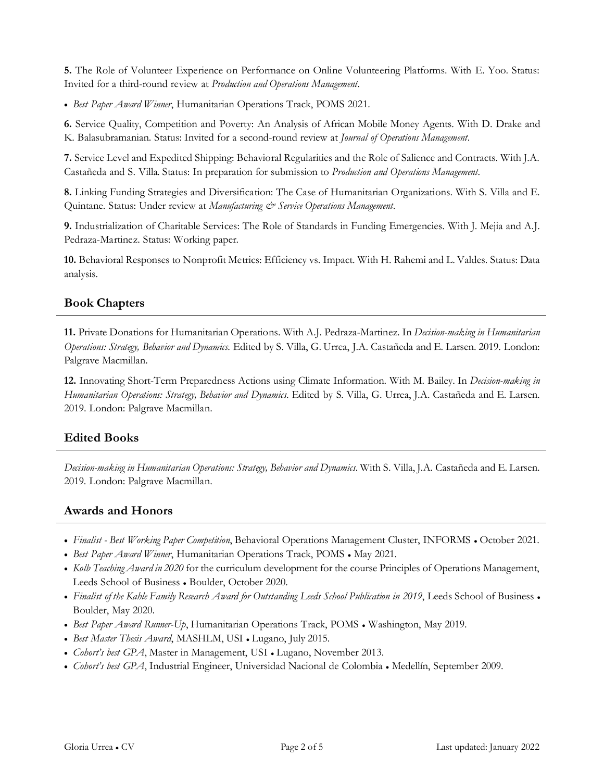**5.** The Role of Volunteer Experience on Performance on Online Volunteering Platforms. With E. Yoo. Status: Invited for a third-round review at *Production and Operations Management*.

• *Best Paper Award Winner*, Humanitarian Operations Track, POMS 2021.

**6.** Service Quality, Competition and Poverty: An Analysis of African Mobile Money Agents. With D. Drake and K. Balasubramanian. Status: Invited for a second-round review at *Journal of Operations Management*.

**7.** Service Level and Expedited Shipping: Behavioral Regularities and the Role of Salience and Contracts. With J.A. Castañeda and S. Villa. Status: In preparation for submission to *Production and Operations Management*.

**8.** Linking Funding Strategies and Diversification: The Case of Humanitarian Organizations. With S. Villa and E. Quintane. Status: Under review at *Manufacturing & Service Operations Management*.

**9.** Industrialization of Charitable Services: The Role of Standards in Funding Emergencies. With J. Mejia and A.J. Pedraza-Martinez. Status: Working paper.

**10.** Behavioral Responses to Nonprofit Metrics: Efficiency vs. Impact. With H. Rahemi and L. Valdes. Status: Data analysis.

# **Book Chapters**

**11.** Private Donations for Humanitarian Operations. With A.J. Pedraza-Martinez. In *Decision-making in Humanitarian Operations: Strategy, Behavior and Dynamics*. Edited by S. Villa, G. Urrea, J.A. Castañeda and E. Larsen. 2019. London: Palgrave Macmillan.

**12.** Innovating Short-Term Preparedness Actions using Climate Information. With M. Bailey. In *Decision-making in Humanitarian Operations: Strategy, Behavior and Dynamics*. Edited by S. Villa, G. Urrea, J.A. Castañeda and E. Larsen. 2019. London: Palgrave Macmillan.

# **Edited Books**

*Decision-making in Humanitarian Operations: Strategy, Behavior and Dynamics*. With S. Villa, J.A. Castañeda and E. Larsen. 2019. London: Palgrave Macmillan.

# **Awards and Honors**

- *Finalist - Best Working Paper Competition*, Behavioral Operations Management Cluster, INFORMS October 2021.
- *Best Paper Award Winner*, Humanitarian Operations Track, POMS May 2021.
- *Kolb Teaching Award in 2020* for the curriculum development for the course Principles of Operations Management, Leeds School of Business • Boulder, October 2020.
- Finalist of the Kahle Family Research Award for Outstanding Leeds School Publication in 2019, Leeds School of Business Boulder, May 2020.
- *Best Paper Award Runner-Up*, Humanitarian Operations Track, POMS Washington, May 2019.
- *Best Master Thesis Award*, MASHLM, USI Lugano, July 2015.
- *Cohort's best GPA*, Master in Management, USI Lugano, November 2013.
- *Cohort's best GPA*, Industrial Engineer, Universidad Nacional de Colombia Medellín, September 2009.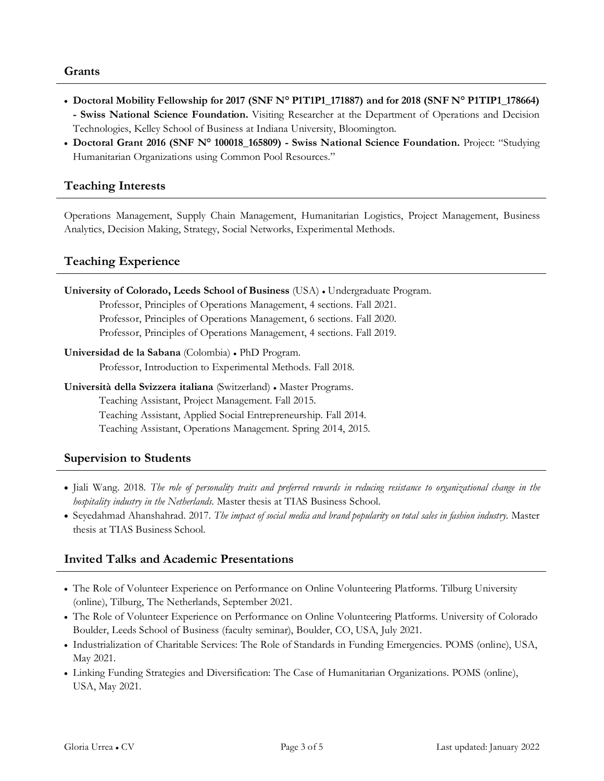#### **Grants**

- **Doctoral Mobility Fellowship for 2017 (SNF N° P1T1P1\_171887) and for 2018 (SNF N° P1TIP1\_178664) - Swiss National Science Foundation.** Visiting Researcher at the Department of Operations and Decision Technologies, Kelley School of Business at Indiana University, Bloomington.
- **Doctoral Grant 2016 (SNF N° 100018\_165809) - Swiss National Science Foundation.** Project: "Studying Humanitarian Organizations using Common Pool Resources."

# **Teaching Interests**

Operations Management, Supply Chain Management, Humanitarian Logistics, Project Management, Business Analytics, Decision Making, Strategy, Social Networks, Experimental Methods.

# **Teaching Experience**

| University of Colorado, Leeds School of Business (USA) . Undergraduate Program. |
|---------------------------------------------------------------------------------|
| Professor, Principles of Operations Management, 4 sections. Fall 2021.          |
| Professor, Principles of Operations Management, 6 sections. Fall 2020.          |
| Professor, Principles of Operations Management, 4 sections. Fall 2019.          |
| Universidad de la Sabana (Colombia) • PhD Program.                              |
| Professor, Introduction to Experimental Methods. Fall 2018.                     |
| Università della Svizzera italiana (Switzerland) • Master Programs.             |
| Teaching Assistant, Project Management. Fall 2015.                              |
| Teaching Assistant, Applied Social Entrepreneurship. Fall 2014.                 |
| Teaching Assistant, Operations Management. Spring 2014, 2015.                   |

# **Supervision to Students**

- Jiali Wang. 2018. *The role of personality traits and preferred rewards in reducing resistance to organizational change in the hospitality industry in the Netherlands*. Master thesis at TIAS Business School.
- Seyedahmad Ahanshahrad. 2017. *The impact of social media and brand popularity on total sales in fashion industry*. Master thesis at TIAS Business School.

# **Invited Talks and Academic Presentations**

- The Role of Volunteer Experience on Performance on Online Volunteering Platforms. Tilburg University (online), Tilburg, The Netherlands, September 2021.
- The Role of Volunteer Experience on Performance on Online Volunteering Platforms. University of Colorado Boulder, Leeds School of Business (faculty seminar), Boulder, CO, USA, July 2021.
- Industrialization of Charitable Services: The Role of Standards in Funding Emergencies. POMS (online), USA, May 2021.
- Linking Funding Strategies and Diversification: The Case of Humanitarian Organizations. POMS (online), USA, May 2021.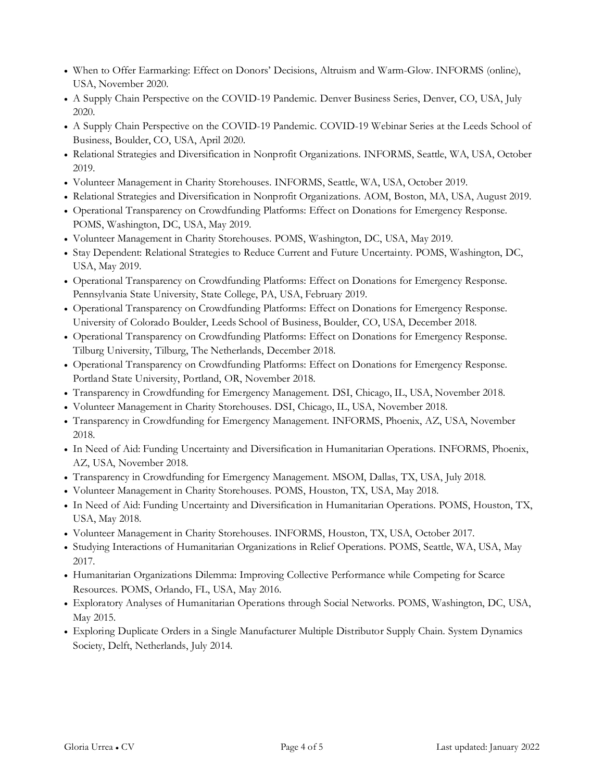- When to Offer Earmarking: Effect on Donors' Decisions, Altruism and Warm-Glow. INFORMS (online), USA, November 2020.
- A Supply Chain Perspective on the COVID-19 Pandemic. Denver Business Series, Denver, CO, USA, July 2020.
- A Supply Chain Perspective on the COVID-19 Pandemic. COVID-19 Webinar Series at the Leeds School of Business, Boulder, CO, USA, April 2020.
- Relational Strategies and Diversification in Nonprofit Organizations. INFORMS, Seattle, WA, USA, October 2019.
- Volunteer Management in Charity Storehouses. INFORMS, Seattle, WA, USA, October 2019.
- Relational Strategies and Diversification in Nonprofit Organizations. AOM, Boston, MA, USA, August 2019.
- Operational Transparency on Crowdfunding Platforms: Effect on Donations for Emergency Response. POMS, Washington, DC, USA, May 2019.
- Volunteer Management in Charity Storehouses. POMS, Washington, DC, USA, May 2019.
- Stay Dependent: Relational Strategies to Reduce Current and Future Uncertainty. POMS, Washington, DC, USA, May 2019.
- Operational Transparency on Crowdfunding Platforms: Effect on Donations for Emergency Response. Pennsylvania State University, State College, PA, USA, February 2019.
- Operational Transparency on Crowdfunding Platforms: Effect on Donations for Emergency Response. University of Colorado Boulder, Leeds School of Business, Boulder, CO, USA, December 2018.
- Operational Transparency on Crowdfunding Platforms: Effect on Donations for Emergency Response. Tilburg University, Tilburg, The Netherlands, December 2018.
- Operational Transparency on Crowdfunding Platforms: Effect on Donations for Emergency Response. Portland State University, Portland, OR, November 2018.
- Transparency in Crowdfunding for Emergency Management. DSI, Chicago, IL, USA, November 2018.
- Volunteer Management in Charity Storehouses. DSI, Chicago, IL, USA, November 2018.
- Transparency in Crowdfunding for Emergency Management. INFORMS, Phoenix, AZ, USA, November 2018.
- In Need of Aid: Funding Uncertainty and Diversification in Humanitarian Operations. INFORMS, Phoenix, AZ, USA, November 2018.
- Transparency in Crowdfunding for Emergency Management. MSOM, Dallas, TX, USA, July 2018.
- Volunteer Management in Charity Storehouses. POMS, Houston, TX, USA, May 2018.
- In Need of Aid: Funding Uncertainty and Diversification in Humanitarian Operations. POMS, Houston, TX, USA, May 2018.
- Volunteer Management in Charity Storehouses. INFORMS, Houston, TX, USA, October 2017.
- Studying Interactions of Humanitarian Organizations in Relief Operations. POMS, Seattle, WA, USA, May 2017.
- Humanitarian Organizations Dilemma: Improving Collective Performance while Competing for Scarce Resources. POMS, Orlando, FL, USA, May 2016.
- Exploratory Analyses of Humanitarian Operations through Social Networks. POMS, Washington, DC, USA, May 2015.
- Exploring Duplicate Orders in a Single Manufacturer Multiple Distributor Supply Chain. System Dynamics Society, Delft, Netherlands, July 2014.